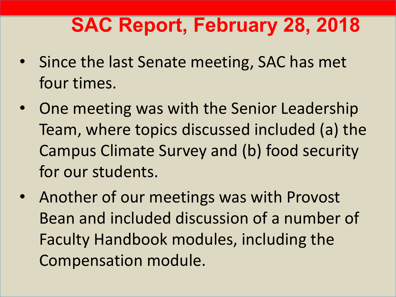# **SAC Report, February 28, 2018**

- Since the last Senate meeting, SAC has met four times.
- One meeting was with the Senior Leadership Team, where topics discussed included (a) the Campus Climate Survey and (b) food security for our students.
- Another of our meetings was with Provost Bean and included discussion of a number of Faculty Handbook modules, including the Compensation module.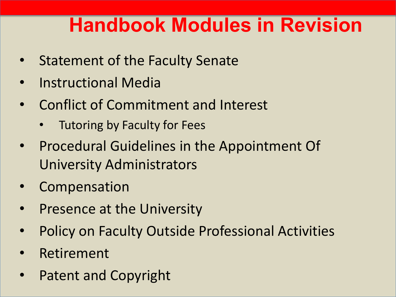## **Handbook Modules in Revision**

- Statement of the Faculty Senate
- Instructional Media
- Conflict of Commitment and Interest
	- Tutoring by Faculty for Fees
- Procedural Guidelines in the Appointment Of University Administrators
- **Compensation**
- Presence at the University
- Policy on Faculty Outside Professional Activities
- **Retirement**
- Patent and Copyright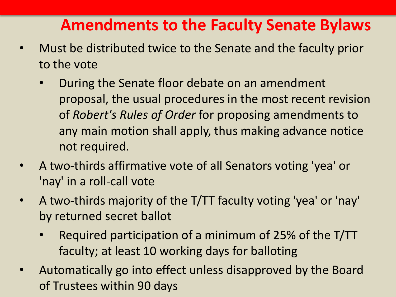### **Amendments to the Faculty Senate Bylaws**

- Must be distributed twice to the Senate and the faculty prior to the vote
	- During the Senate floor debate on an amendment proposal, the usual procedures in the most recent revision of *Robert's Rules of Order* for proposing amendments to any main motion shall apply, thus making advance notice not required.
- A two-thirds affirmative vote of all Senators voting 'yea' or 'nay' in a roll-call vote
- A two-thirds majority of the T/TT faculty voting 'yea' or 'nay' by returned secret ballot
	- Required participation of a minimum of 25% of the T/TT faculty; at least 10 working days for balloting
- Automatically go into effect unless disapproved by the Board of Trustees within 90 days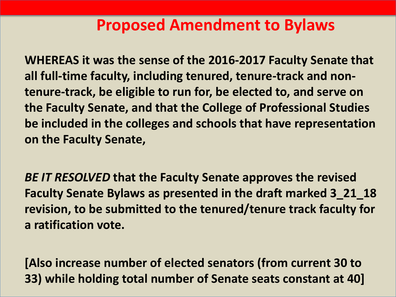#### **Proposed Amendment to Bylaws**

**WHEREAS it was the sense of the 2016-2017 Faculty Senate that all full-time faculty, including tenured, tenure-track and nontenure-track, be eligible to run for, be elected to, and serve on the Faculty Senate, and that the College of Professional Studies be included in the colleges and schools that have representation on the Faculty Senate,**

*BE IT RESOLVED* **that the Faculty Senate approves the revised Faculty Senate Bylaws as presented in the draft marked 3\_21\_18 revision, to be submitted to the tenured/tenure track faculty for a ratification vote.** 

**[Also increase number of elected senators (from current 30 to 33) while holding total number of Senate seats constant at 40]**